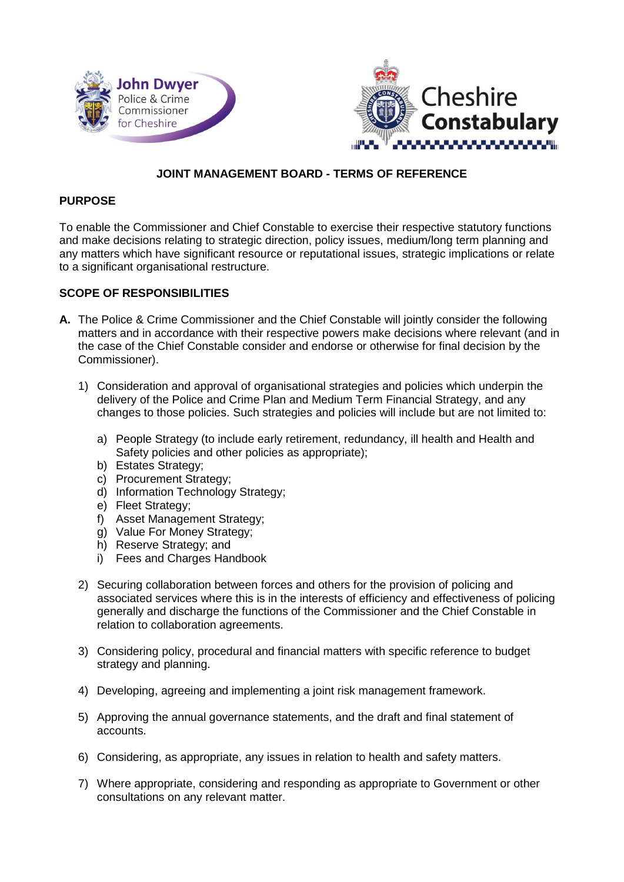



# **JOINT MANAGEMENT BOARD - TERMS OF REFERENCE**

#### **PURPOSE**

To enable the Commissioner and Chief Constable to exercise their respective statutory functions and make decisions relating to strategic direction, policy issues, medium/long term planning and any matters which have significant resource or reputational issues, strategic implications or relate to a significant organisational restructure.

#### **SCOPE OF RESPONSIBILITIES**

- **A.** The Police & Crime Commissioner and the Chief Constable will jointly consider the following matters and in accordance with their respective powers make decisions where relevant (and in the case of the Chief Constable consider and endorse or otherwise for final decision by the Commissioner).
	- 1) Consideration and approval of organisational strategies and policies which underpin the delivery of the Police and Crime Plan and Medium Term Financial Strategy, and any changes to those policies. Such strategies and policies will include but are not limited to:
		- a) People Strategy (to include early retirement, redundancy, ill health and Health and Safety policies and other policies as appropriate);
		- b) Estates Strategy;
		- c) Procurement Strategy;
		- d) Information Technology Strategy;
		- e) Fleet Strategy;
		- f) Asset Management Strategy;
		- g) Value For Money Strategy;
		- h) Reserve Strategy; and
		- i) Fees and Charges Handbook
	- 2) Securing collaboration between forces and others for the provision of policing and associated services where this is in the interests of efficiency and effectiveness of policing generally and discharge the functions of the Commissioner and the Chief Constable in relation to collaboration agreements.
	- 3) Considering policy, procedural and financial matters with specific reference to budget strategy and planning.
	- 4) Developing, agreeing and implementing a joint risk management framework.
	- 5) Approving the annual governance statements, and the draft and final statement of accounts.
	- 6) Considering, as appropriate, any issues in relation to health and safety matters.
	- 7) Where appropriate, considering and responding as appropriate to Government or other consultations on any relevant matter.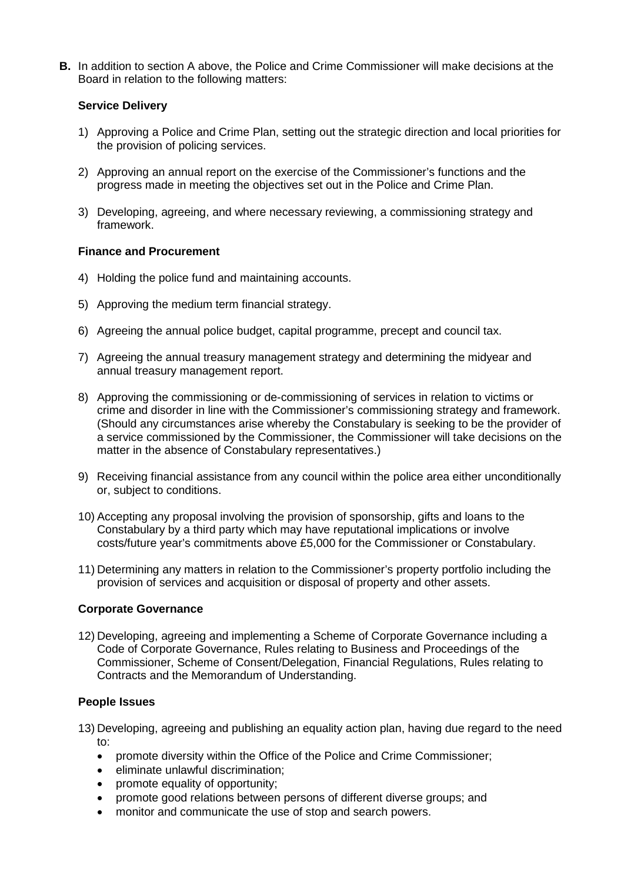**B.** In addition to section A above, the Police and Crime Commissioner will make decisions at the Board in relation to the following matters:

# **Service Delivery**

- 1) Approving a Police and Crime Plan, setting out the strategic direction and local priorities for the provision of policing services.
- 2) Approving an annual report on the exercise of the Commissioner's functions and the progress made in meeting the objectives set out in the Police and Crime Plan.
- 3) Developing, agreeing, and where necessary reviewing, a commissioning strategy and framework.

## **Finance and Procurement**

- 4) Holding the police fund and maintaining accounts.
- 5) Approving the medium term financial strategy.
- 6) Agreeing the annual police budget, capital programme, precept and council tax.
- 7) Agreeing the annual treasury management strategy and determining the midyear and annual treasury management report.
- 8) Approving the commissioning or de-commissioning of services in relation to victims or crime and disorder in line with the Commissioner's commissioning strategy and framework. (Should any circumstances arise whereby the Constabulary is seeking to be the provider of a service commissioned by the Commissioner, the Commissioner will take decisions on the matter in the absence of Constabulary representatives.)
- 9) Receiving financial assistance from any council within the police area either unconditionally or, subject to conditions.
- 10) Accepting any proposal involving the provision of sponsorship, gifts and loans to the Constabulary by a third party which may have reputational implications or involve costs/future year's commitments above £5,000 for the Commissioner or Constabulary.
- 11) Determining any matters in relation to the Commissioner's property portfolio including the provision of services and acquisition or disposal of property and other assets.

## **Corporate Governance**

12) Developing, agreeing and implementing a Scheme of Corporate Governance including a Code of Corporate Governance, Rules relating to Business and Proceedings of the Commissioner, Scheme of Consent/Delegation, Financial Regulations, Rules relating to Contracts and the Memorandum of Understanding.

## **People Issues**

- 13) Developing, agreeing and publishing an equality action plan, having due regard to the need to:
	- promote diversity within the Office of the Police and Crime Commissioner;
	- eliminate unlawful discrimination;
	- promote equality of opportunity;
	- promote good relations between persons of different diverse groups; and
	- monitor and communicate the use of stop and search powers.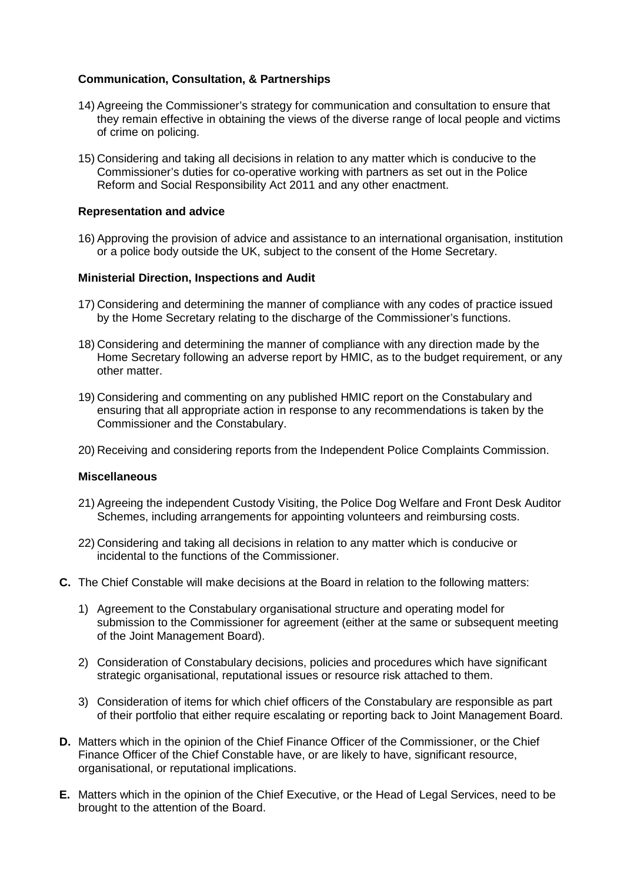## **Communication, Consultation, & Partnerships**

- 14) Agreeing the Commissioner's strategy for communication and consultation to ensure that they remain effective in obtaining the views of the diverse range of local people and victims of crime on policing.
- 15) Considering and taking all decisions in relation to any matter which is conducive to the Commissioner's duties for co-operative working with partners as set out in the Police Reform and Social Responsibility Act 2011 and any other enactment.

## **Representation and advice**

16) Approving the provision of advice and assistance to an international organisation, institution or a police body outside the UK, subject to the consent of the Home Secretary.

#### **Ministerial Direction, Inspections and Audit**

- 17) Considering and determining the manner of compliance with any codes of practice issued by the Home Secretary relating to the discharge of the Commissioner's functions.
- 18) Considering and determining the manner of compliance with any direction made by the Home Secretary following an adverse report by HMIC, as to the budget requirement, or any other matter.
- 19) Considering and commenting on any published HMIC report on the Constabulary and ensuring that all appropriate action in response to any recommendations is taken by the Commissioner and the Constabulary.
- 20) Receiving and considering reports from the Independent Police Complaints Commission.

#### **Miscellaneous**

- 21) Agreeing the independent Custody Visiting, the Police Dog Welfare and Front Desk Auditor Schemes, including arrangements for appointing volunteers and reimbursing costs.
- 22) Considering and taking all decisions in relation to any matter which is conducive or incidental to the functions of the Commissioner.
- **C.** The Chief Constable will make decisions at the Board in relation to the following matters:
	- 1) Agreement to the Constabulary organisational structure and operating model for submission to the Commissioner for agreement (either at the same or subsequent meeting of the Joint Management Board).
	- 2) Consideration of Constabulary decisions, policies and procedures which have significant strategic organisational, reputational issues or resource risk attached to them.
	- 3) Consideration of items for which chief officers of the Constabulary are responsible as part of their portfolio that either require escalating or reporting back to Joint Management Board.
- **D.** Matters which in the opinion of the Chief Finance Officer of the Commissioner, or the Chief Finance Officer of the Chief Constable have, or are likely to have, significant resource, organisational, or reputational implications.
- **E.** Matters which in the opinion of the Chief Executive, or the Head of Legal Services, need to be brought to the attention of the Board.